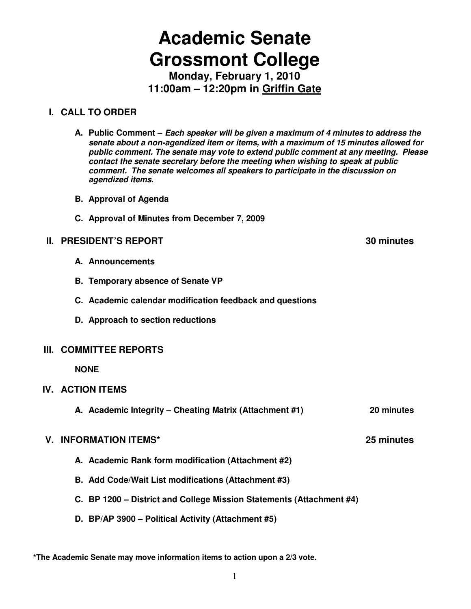# **Academic Senate Grossmont College**

**Monday, February 1, 2010 11:00am – 12:20pm in Griffin Gate**

### **I. CALL TO ORDER**

- **A. Public Comment Each speaker will be given a maximum of 4 minutes to address the senate about a non-agendized item or items, with a maximum of 15 minutes allowed for public comment. The senate may vote to extend public comment at any meeting. Please contact the senate secretary before the meeting when wishing to speak at public comment. The senate welcomes all speakers to participate in the discussion on agendized items.**
- **B. Approval of Agenda**
- **C. Approval of Minutes from December 7, 2009**

### **II. PRESIDENT'S REPORT 40 CONTROL**

- **A. Announcements**
- **B. Temporary absence of Senate VP**
- **C. Academic calendar modification feedback and questions**
- **D. Approach to section reductions**

### **III. COMMITTEE REPORTS**

 **NONE** 

### **IV. ACTION ITEMS**

**A. Academic Integrity – Cheating Matrix (Attachment #1) 20 minutes** 

### **V. INFORMATION ITEMS\* 25 minutes**

- **A. Academic Rank form modification (Attachment #2)**
- **B. Add Code/Wait List modifications (Attachment #3)**
- **C. BP 1200 District and College Mission Statements (Attachment #4)**
- **D. BP/AP 3900 Political Activity (Attachment #5)**

**\*The Academic Senate may move information items to action upon a 2/3 vote.**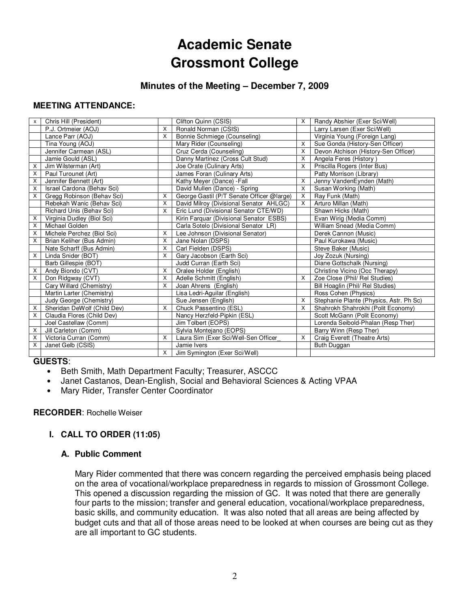# **Academic Senate Grossmont College**

### **Minutes of the Meeting – December 7, 2009**

### **MEETING ATTENDANCE:**

| X | Chris Hill (President)      |                           | Clifton Quinn (CSIS)                      | X | Randy Abshier (Exer Sci/Well)           |
|---|-----------------------------|---------------------------|-------------------------------------------|---|-----------------------------------------|
|   | P.J. Ortmeier (AOJ)         | X                         | Ronald Norman (CSIS)                      |   | Larry Larsen (Exer Sci/Well)            |
|   | Lance Parr (AOJ)            | X                         | Bonnie Schmiege (Counseling)              |   | Virginia Young (Foreign Lang)           |
|   | Tina Young (AOJ)            |                           | Mary Rider (Counseling)                   | X | Sue Gonda (History-Sen Officer)         |
|   | Jennifer Carmean (ASL)      |                           | Cruz Cerda (Counseling)                   | X | Devon Atchison (History-Sen Officer)    |
|   | Jamie Gould (ASL)           |                           | Danny Martinez (Cross Cult Stud)          | X | Angela Feres (History)                  |
| X | Jim Wilsterman (Art)        |                           | Joe Orate (Culinary Arts)                 | X | Priscilla Rogers (Inter Bus)            |
| X | Paul Turounet (Art)         |                           | James Foran (Culinary Arts)               |   | Patty Morrison (Library)                |
| X | Jennifer Bennett (Art)      |                           | Kathy Meyer (Dance) - Fall                | X | Jenny VandenEynden (Math)               |
| X | Israel Cardona (Behav Sci)  |                           | David Mullen (Dance) - Spring             | X | Susan Working (Math)                    |
| X | Gregg Robinson (Behav Sci)  | X                         | George Gastil (P/T Senate Officer @large) | X | Ray Funk (Math)                         |
|   | Rebekah Wanic (Behav Sci)   | X                         | David Milroy (Divisional Senator AHLGC)   | X | Arturo Millan (Math)                    |
|   | Richard Unis (Behav Sci)    | X                         | Eric Lund (Divisional Senator CTE/WD)     |   | Shawn Hicks (Math)                      |
| X | Virginia Dudley (Biol Sci)  |                           | Kirin Farquar (Divisional Senator ESBS)   |   | Evan Wirig (Media Comm)                 |
| X | Michael Golden              |                           | Carla Sotelo (Divisional Senator LR)      |   | William Snead (Media Comm)              |
| X | Michele Perchez (Biol Sci)  | X                         | Lee Johnson (Divisional Senator)          |   | Derek Cannon (Music)                    |
| X | Brian Keliher (Bus Admin)   | X                         | Jane Nolan (DSPS)                         |   | Paul Kurokawa (Music)                   |
|   | Nate Scharff (Bus Admin)    | X                         | Carl Fielden (DSPS)                       |   | Steve Baker (Music)                     |
| X | Linda Snider (BOT)          | $\boldsymbol{\mathsf{x}}$ | Gary Jacobson (Earth Sci)                 |   | Joy Zozuk (Nursing)                     |
|   | Barb Gillespie (BOT)        |                           | Judd Curran (Earth Sci)                   |   | Diane Gottschalk (Nursing)              |
| Х | Andy Biondo (CVT)           | X                         | Oralee Holder (English)                   |   | Christine Vicino (Occ Therapy)          |
| X | Don Ridgway (CVT)           | X                         | Adelle Schmitt (English)                  | X | Zoe Close (Phil/ Rel Studies)           |
|   | Cary Willard (Chemistry)    | X                         | Joan Ahrens (English)                     |   | Bill Hoaglin (Phil/ Rel Studies)        |
|   | Martin Larter (Chemistry)   |                           | Lisa Ledri-Aguilar (English)              |   | Ross Cohen (Physics)                    |
|   | Judy George (Chemistry)     |                           | Sue Jensen (English)                      | X | Stephanie Plante (Physics, Astr. Ph Sc) |
| X | Sheridan DeWolf (Child Dev) | X                         | Chuck Passentino (ESL)                    | X | Shahrokh Shahrokhi (Polit Economy)      |
| X | Claudia Flores (Child Dev)  |                           | Nancy Herzfeld-Pipkin (ESL)               |   | Scott McGann (Polit Economy)            |
|   | Joel Castellaw (Comm)       |                           | Jim Tolbert (EOPS)                        |   | Lorenda Seibold-Phalan (Resp Ther)      |
| X | Jill Carleton (Comm)        |                           | Sylvia Montejano (EOPS)                   |   | Barry Winn (Resp Ther)                  |
| X | Victoria Curran (Comm)      | X                         | Laura Sim (Exer Sci/Well-Sen Officer      | X | Craig Everett (Theatre Arts)            |
| X | Janet Gelb (CSIS)           |                           | Jamie Ivers                               |   | <b>Buth Duggan</b>                      |
|   |                             | $\times$                  | Jim Symington (Exer Sci/Well)             |   |                                         |

### **GUESTS**:

- Beth Smith, Math Department Faculty; Treasurer, ASCCC
- Janet Castanos, Dean-English, Social and Behavioral Sciences & Acting VPAA
- Mary Rider, Transfer Center Coordinator

### **RECORDER**: Rochelle Weiser

### **I. CALL TO ORDER (11:05)**

### **A. Public Comment**

Mary Rider commented that there was concern regarding the perceived emphasis being placed on the area of vocational/workplace preparedness in regards to mission of Grossmont College. This opened a discussion regarding the mission of GC. It was noted that there are generally four parts to the mission; transfer and general education, vocational/workplace preparedness, basic skills, and community education. It was also noted that all areas are being affected by budget cuts and that all of those areas need to be looked at when courses are being cut as they are all important to GC students.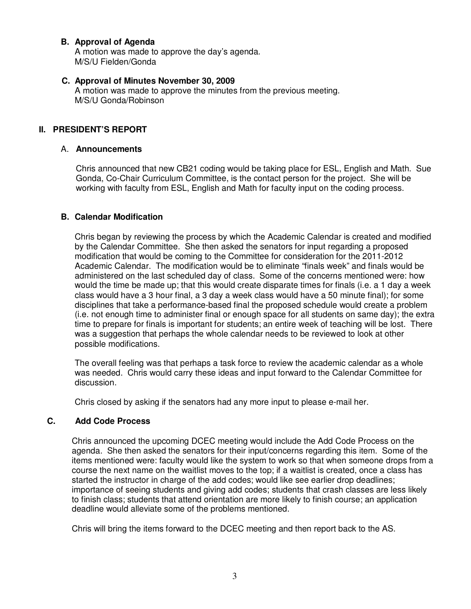### **B. Approval of Agenda**

A motion was made to approve the day's agenda. M/S/U Fielden/Gonda

### **C. Approval of Minutes November 30, 2009**

A motion was made to approve the minutes from the previous meeting. M/S/U Gonda/Robinson

### **II. PRESIDENT'S REPORT**

### A. **Announcements**

Chris announced that new CB21 coding would be taking place for ESL, English and Math. Sue Gonda, Co-Chair Curriculum Committee, is the contact person for the project. She will be working with faculty from ESL, English and Math for faculty input on the coding process.

### **B. Calendar Modification**

Chris began by reviewing the process by which the Academic Calendar is created and modified by the Calendar Committee. She then asked the senators for input regarding a proposed modification that would be coming to the Committee for consideration for the 2011-2012 Academic Calendar. The modification would be to eliminate "finals week" and finals would be administered on the last scheduled day of class. Some of the concerns mentioned were: how would the time be made up; that this would create disparate times for finals (i.e. a 1 day a week class would have a 3 hour final, a 3 day a week class would have a 50 minute final); for some disciplines that take a performance-based final the proposed schedule would create a problem (i.e. not enough time to administer final or enough space for all students on same day); the extra time to prepare for finals is important for students; an entire week of teaching will be lost. There was a suggestion that perhaps the whole calendar needs to be reviewed to look at other possible modifications.

The overall feeling was that perhaps a task force to review the academic calendar as a whole was needed. Chris would carry these ideas and input forward to the Calendar Committee for discussion.

Chris closed by asking if the senators had any more input to please e-mail her.

### **C. Add Code Process**

Chris announced the upcoming DCEC meeting would include the Add Code Process on the agenda. She then asked the senators for their input/concerns regarding this item. Some of the items mentioned were: faculty would like the system to work so that when someone drops from a course the next name on the waitlist moves to the top; if a waitlist is created, once a class has started the instructor in charge of the add codes; would like see earlier drop deadlines; importance of seeing students and giving add codes; students that crash classes are less likely to finish class; students that attend orientation are more likely to finish course; an application deadline would alleviate some of the problems mentioned.

Chris will bring the items forward to the DCEC meeting and then report back to the AS.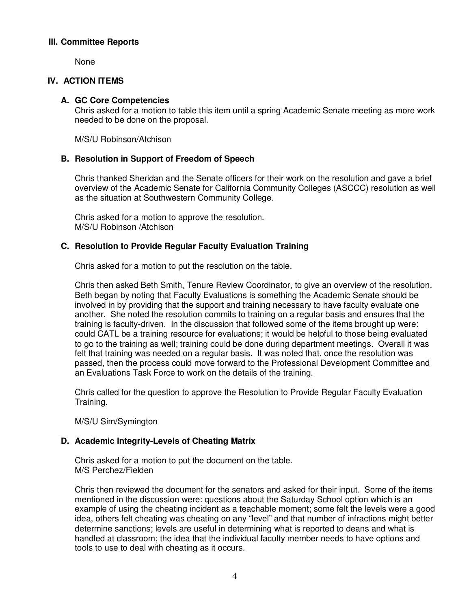### **III. Committee Reports**

None

### **IV. ACTION ITEMS**

### **A. GC Core Competencies**

Chris asked for a motion to table this item until a spring Academic Senate meeting as more work needed to be done on the proposal.

M/S/U Robinson/Atchison

### **B. Resolution in Support of Freedom of Speech**

Chris thanked Sheridan and the Senate officers for their work on the resolution and gave a brief overview of the Academic Senate for California Community Colleges (ASCCC) resolution as well as the situation at Southwestern Community College.

Chris asked for a motion to approve the resolution. M/S/U Robinson /Atchison

### **C. Resolution to Provide Regular Faculty Evaluation Training**

Chris asked for a motion to put the resolution on the table.

Chris then asked Beth Smith, Tenure Review Coordinator, to give an overview of the resolution. Beth began by noting that Faculty Evaluations is something the Academic Senate should be involved in by providing that the support and training necessary to have faculty evaluate one another. She noted the resolution commits to training on a regular basis and ensures that the training is faculty-driven. In the discussion that followed some of the items brought up were: could CATL be a training resource for evaluations; it would be helpful to those being evaluated to go to the training as well; training could be done during department meetings. Overall it was felt that training was needed on a regular basis. It was noted that, once the resolution was passed, then the process could move forward to the Professional Development Committee and an Evaluations Task Force to work on the details of the training.

Chris called for the question to approve the Resolution to Provide Regular Faculty Evaluation Training.

M/S/U Sim/Symington

### **D. Academic Integrity-Levels of Cheating Matrix**

Chris asked for a motion to put the document on the table. M/S Perchez/Fielden

Chris then reviewed the document for the senators and asked for their input. Some of the items mentioned in the discussion were: questions about the Saturday School option which is an example of using the cheating incident as a teachable moment; some felt the levels were a good idea, others felt cheating was cheating on any "level" and that number of infractions might better determine sanctions; levels are useful in determining what is reported to deans and what is handled at classroom; the idea that the individual faculty member needs to have options and tools to use to deal with cheating as it occurs.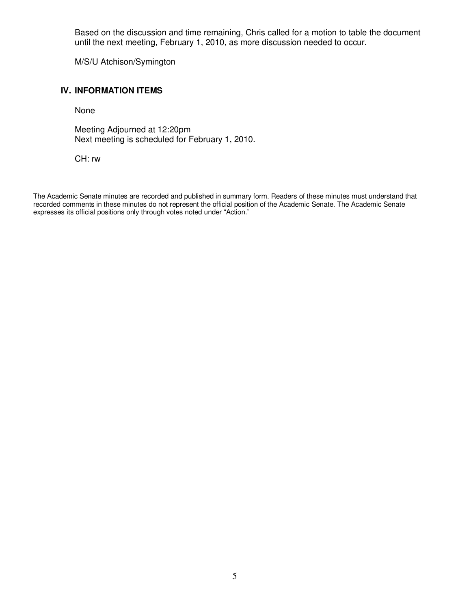Based on the discussion and time remaining, Chris called for a motion to table the document until the next meeting, February 1, 2010, as more discussion needed to occur.

M/S/U Atchison/Symington

### **IV. INFORMATION ITEMS**

None

Meeting Adjourned at 12:20pm Next meeting is scheduled for February 1, 2010.

CH: rw

The Academic Senate minutes are recorded and published in summary form. Readers of these minutes must understand that recorded comments in these minutes do not represent the official position of the Academic Senate. The Academic Senate expresses its official positions only through votes noted under "Action."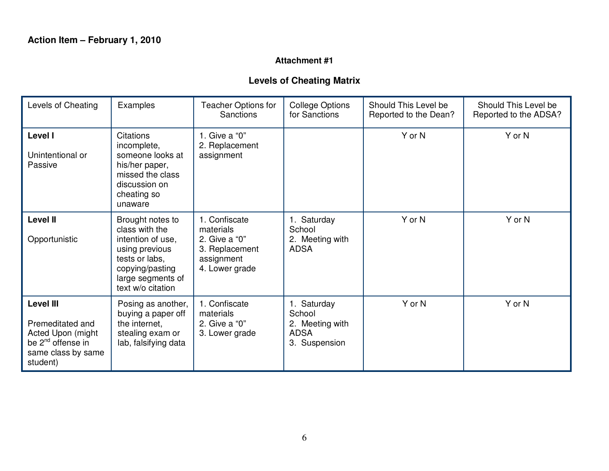### **Attachment #1**

# **Levels of Cheating Matrix**

| Levels of Cheating<br>Examples                                                                                               |                                                                                                                                                          | <b>Teacher Options for</b><br><b>Sanctions</b>                                                | <b>College Options</b><br>for Sanctions                                  | Should This Level be<br>Reported to the Dean? | Should This Level be<br>Reported to the ADSA? |
|------------------------------------------------------------------------------------------------------------------------------|----------------------------------------------------------------------------------------------------------------------------------------------------------|-----------------------------------------------------------------------------------------------|--------------------------------------------------------------------------|-----------------------------------------------|-----------------------------------------------|
| Level I<br>Unintentional or<br>Passive                                                                                       | <b>Citations</b><br>incomplete,<br>someone looks at<br>his/her paper,<br>missed the class<br>discussion on<br>cheating so<br>unaware                     | 1. Give a "0"<br>2. Replacement<br>assignment                                                 |                                                                          | Y or N                                        | Y or N                                        |
| <b>Level II</b><br>Opportunistic                                                                                             | Brought notes to<br>class with the<br>intention of use,<br>using previous<br>tests or labs,<br>copying/pasting<br>large segments of<br>text w/o citation | 1. Confiscate<br>materials<br>2. Give a "0"<br>3. Replacement<br>assignment<br>4. Lower grade | 1. Saturday<br>School<br>2. Meeting with<br><b>ADSA</b>                  | Y or N                                        | Y or N                                        |
| <b>Level III</b><br>Premeditated and<br>Acted Upon (might<br>be 2 <sup>nd</sup> offense in<br>same class by same<br>student) | Posing as another,<br>buying a paper off<br>the internet,<br>stealing exam or<br>lab, falsifying data                                                    | 1. Confiscate<br>materials<br>2. Give a "0"<br>3. Lower grade                                 | 1. Saturday<br>School<br>2. Meeting with<br><b>ADSA</b><br>3. Suspension | Y or N                                        | Y or N                                        |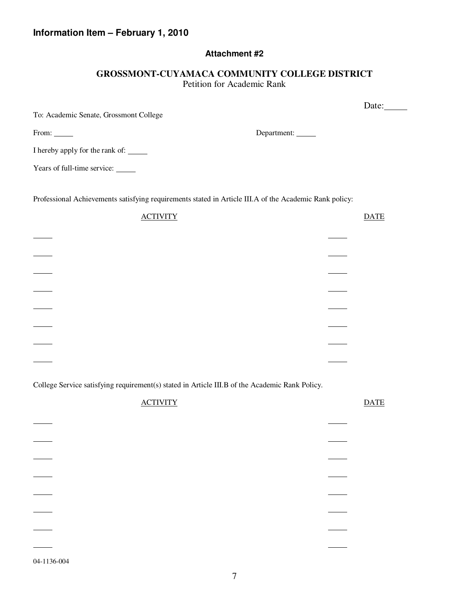### **Information Item – February 1, 2010**

### **Attachment #2**

### **GROSSMONT-CUYAMACA COMMUNITY COLLEGE DISTRICT**  Petition for Academic Rank

|                                                                                                        |             | Date:       |
|--------------------------------------------------------------------------------------------------------|-------------|-------------|
| To: Academic Senate, Grossmont College                                                                 |             |             |
| From: ______                                                                                           | Department: |             |
| I hereby apply for the rank of: _______                                                                |             |             |
| Years of full-time service:                                                                            |             |             |
|                                                                                                        |             |             |
| Professional Achievements satisfying requirements stated in Article III.A of the Academic Rank policy: |             |             |
| <b>ACTIVITY</b>                                                                                        |             | <b>DATE</b> |
|                                                                                                        |             |             |
|                                                                                                        |             |             |

College Service satisfying requirement(s) stated in Article III.B of the Academic Rank Policy.

|   | <b>ACTIVITY</b> | <b>DATE</b> |
|---|-----------------|-------------|
|   |                 |             |
|   |                 |             |
|   |                 |             |
|   |                 |             |
|   |                 |             |
|   |                 |             |
|   |                 |             |
|   |                 |             |
| . |                 |             |

04-1136-004

 $\overline{a}$ 

l

l

l

 $\overline{\phantom{a}}$ 

 $\overline{\phantom{a}}$ 

 $\overline{\phantom{a}}$ 

 $\overline{\phantom{a}}$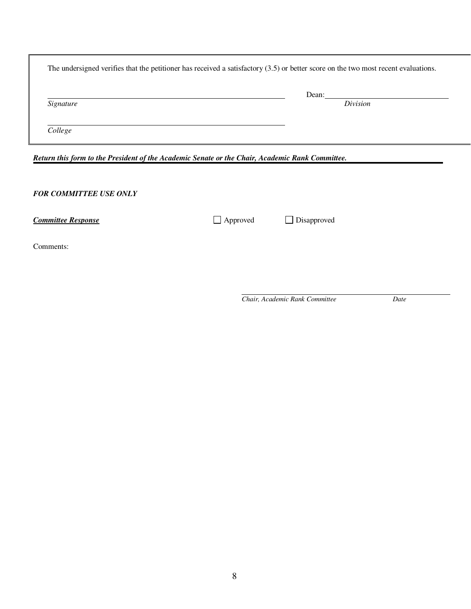|                                                                                                                                  | Dean:    |  |
|----------------------------------------------------------------------------------------------------------------------------------|----------|--|
| Signature                                                                                                                        | Division |  |
| College                                                                                                                          |          |  |
|                                                                                                                                  |          |  |
|                                                                                                                                  |          |  |
|                                                                                                                                  |          |  |
|                                                                                                                                  |          |  |
| Return this form to the President of the Academic Senate or the Chair, Academic Rank Committee.<br><b>FOR COMMITTEE USE ONLY</b> |          |  |

Comments:

*Chair, Academic Rank Committee Date*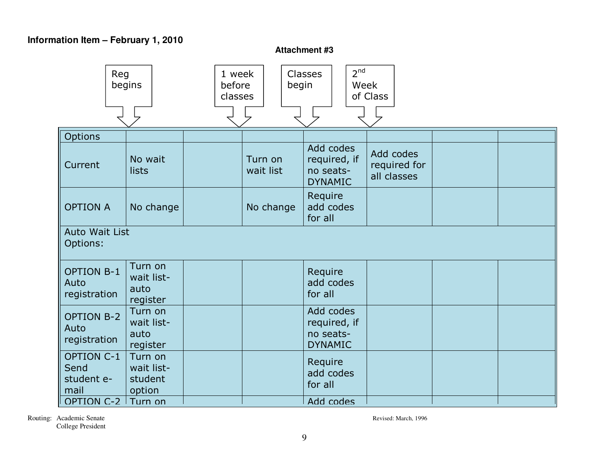## **Information Item – February 1, 2010**

**Attachment #3**

| Reg                                             | begins                                     | 1 week<br>before<br>classes | begin                | 2 <sup>nd</sup><br><b>Classes</b><br>Week                | of Class                                 |  |
|-------------------------------------------------|--------------------------------------------|-----------------------------|----------------------|----------------------------------------------------------|------------------------------------------|--|
| Options                                         |                                            |                             |                      |                                                          |                                          |  |
| Current                                         | No wait<br>lists                           |                             | Turn on<br>wait list | Add codes<br>required, if<br>no seats-<br><b>DYNAMIC</b> | Add codes<br>required for<br>all classes |  |
| <b>OPTION A</b>                                 | No change                                  |                             | No change            | Require<br>add codes<br>for all                          |                                          |  |
| <b>Auto Wait List</b><br>Options:               |                                            |                             |                      |                                                          |                                          |  |
| <b>OPTION B-1</b><br>Auto<br>registration       | Turn on<br>wait list-<br>auto<br>register  |                             |                      | Require<br>add codes<br>for all                          |                                          |  |
| <b>OPTION B-2</b><br>Auto<br>registration       | Turn on<br>wait list-<br>auto<br>register  |                             |                      | Add codes<br>required, if<br>no seats-<br><b>DYNAMIC</b> |                                          |  |
| <b>OPTION C-1</b><br>Send<br>student e-<br>mail | Turn on<br>wait list-<br>student<br>option |                             |                      | Require<br>add codes<br>for all                          |                                          |  |
| OPTION C-2 Turn on                              |                                            |                             |                      | Add codes                                                |                                          |  |

Routing: Academic Senate Revised: March, 1996 College President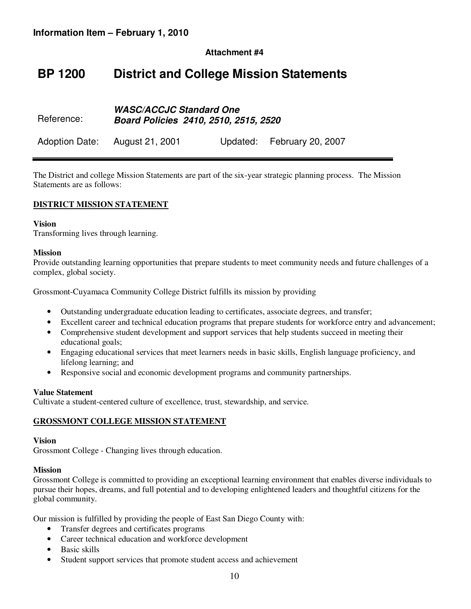**Attachment #4**

# **BP 1200 District and College Mission Statements**

#### Reference: **WASC/ACCJC Standard One Board Policies 2410, 2510, 2515, 2520**

Adoption Date: August 21, 2001 Updated: February 20, 2007

The District and college Mission Statements are part of the six-year strategic planning process. The Mission Statements are as follows:

### **DISTRICT MISSION STATEMENT**

### **Vision**

Transforming lives through learning.

#### **Mission**

Provide outstanding learning opportunities that prepare students to meet community needs and future challenges of a complex, global society.

Grossmont-Cuyamaca Community College District fulfills its mission by providing

- Outstanding undergraduate education leading to certificates, associate degrees, and transfer;
- Excellent career and technical education programs that prepare students for workforce entry and advancement;
- Comprehensive student development and support services that help students succeed in meeting their educational goals;
- Engaging educational services that meet learners needs in basic skills, English language proficiency, and lifelong learning; and
- Responsive social and economic development programs and community partnerships.

### **Value Statement**

Cultivate a student-centered culture of excellence, trust, stewardship, and service.

### **GROSSMONT COLLEGE MISSION STATEMENT**

#### **Vision**

Grossmont College - Changing lives through education.

### **Mission**

Grossmont College is committed to providing an exceptional learning environment that enables diverse individuals to pursue their hopes, dreams, and full potential and to developing enlightened leaders and thoughtful citizens for the global community.

Our mission is fulfilled by providing the people of East San Diego County with:

- Transfer degrees and certificates programs
- Career technical education and workforce development
- Basic skills
- Student support services that promote student access and achievement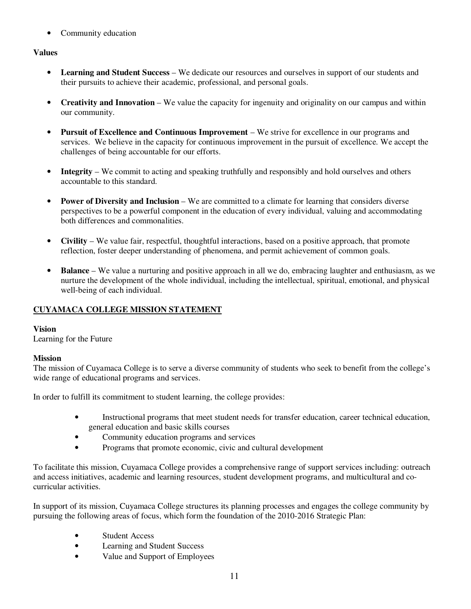• Community education

### **Values**

- **Learning and Student Success** We dedicate our resources and ourselves in support of our students and their pursuits to achieve their academic, professional, and personal goals.
- **Creativity and Innovation** We value the capacity for ingenuity and originality on our campus and within our community.
- **Pursuit of Excellence and Continuous Improvement** We strive for excellence in our programs and services. We believe in the capacity for continuous improvement in the pursuit of excellence. We accept the challenges of being accountable for our efforts.
- **Integrity** We commit to acting and speaking truthfully and responsibly and hold ourselves and others accountable to this standard.
- **Power of Diversity and Inclusion** We are committed to a climate for learning that considers diverse perspectives to be a powerful component in the education of every individual, valuing and accommodating both differences and commonalities.
- **Civility** We value fair, respectful, thoughtful interactions, based on a positive approach, that promote reflection, foster deeper understanding of phenomena, and permit achievement of common goals.
- **Balance** We value a nurturing and positive approach in all we do, embracing laughter and enthusiasm, as we nurture the development of the whole individual, including the intellectual, spiritual, emotional, and physical well-being of each individual.

### **CUYAMACA COLLEGE MISSION STATEMENT**

### **Vision**

Learning for the Future

### **Mission**

The mission of Cuyamaca College is to serve a diverse community of students who seek to benefit from the college's wide range of educational programs and services.

In order to fulfill its commitment to student learning, the college provides:

- Instructional programs that meet student needs for transfer education, career technical education, general education and basic skills courses
- Community education programs and services
- Programs that promote economic, civic and cultural development

To facilitate this mission, Cuyamaca College provides a comprehensive range of support services including: outreach and access initiatives, academic and learning resources, student development programs, and multicultural and cocurricular activities.

In support of its mission, Cuyamaca College structures its planning processes and engages the college community by pursuing the following areas of focus, which form the foundation of the 2010-2016 Strategic Plan:

- Student Access
- Learning and Student Success
- Value and Support of Employees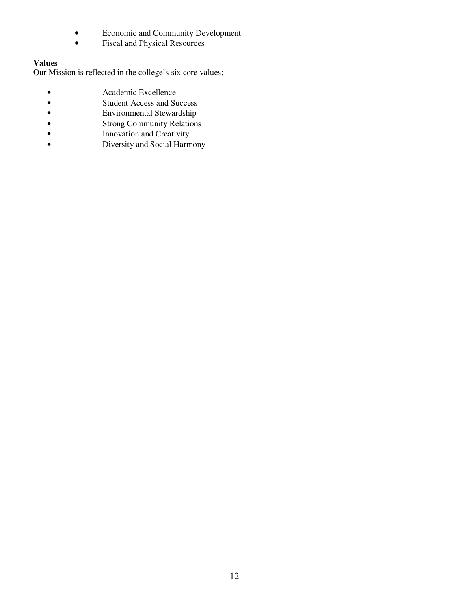- Economic and Community Development
- Fiscal and Physical Resources

### **Values**

Our Mission is reflected in the college's six core values:

- 
- Academic Excellence<br>• Student Access and Su<br>• Environmental Stewar Student Access and Success
- Environmental Stewardship<br>• Strong Community Relations
- Strong Community Relations<br>• Innovation and Creativity
- Innovation and Creativity<br>• Diversity and Social Harm
- Diversity and Social Harmony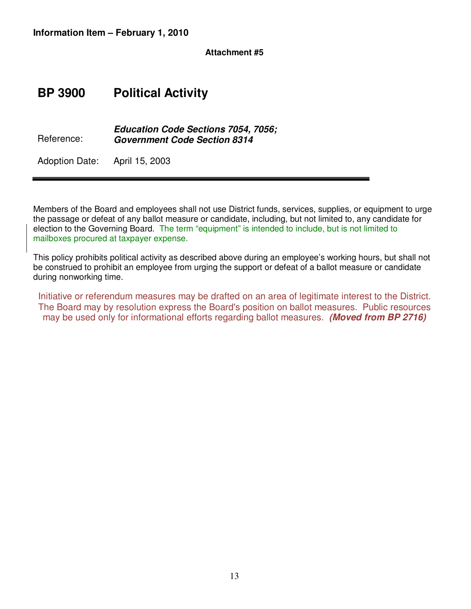### **Attachment #5**

# **BP 3900 Political Activity**

Reference: **Education Code Sections 7054, 7056; Government Code Section 8314** 

Adoption Date: April 15, 2003

Members of the Board and employees shall not use District funds, services, supplies, or equipment to urge the passage or defeat of any ballot measure or candidate, including, but not limited to, any candidate for election to the Governing Board. The term "equipment" is intended to include, but is not limited to mailboxes procured at taxpayer expense.

This policy prohibits political activity as described above during an employee's working hours, but shall not be construed to prohibit an employee from urging the support or defeat of a ballot measure or candidate during nonworking time.

Initiative or referendum measures may be drafted on an area of legitimate interest to the District. The Board may by resolution express the Board's position on ballot measures. Public resources may be used only for informational efforts regarding ballot measures. **(Moved from BP 2716)**